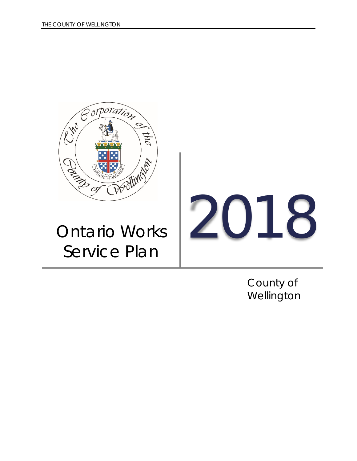

County of Wellington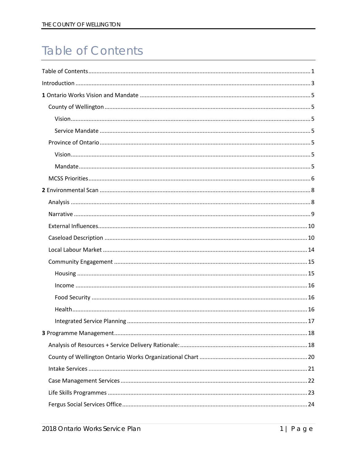# <span id="page-1-0"></span>**Table of Contents**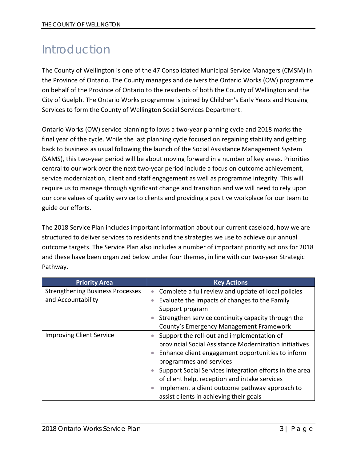# <span id="page-3-0"></span>Introduction

The County of Wellington is one of the 47 Consolidated Municipal Service Managers (CMSM) in the Province of Ontario. The County manages and delivers the Ontario Works (OW) programme on behalf of the Province of Ontario to the residents of both the County of Wellington and the City of Guelph. The Ontario Works programme is joined by Children's Early Years and Housing Services to form the County of Wellington Social Services Department.

Ontario Works (OW) service planning follows a two-year planning cycle and 2018 marks the final year of the cycle. While the last planning cycle focused on regaining stability and getting back to business as usual following the launch of the Social Assistance Management System (SAMS), this two-year period will be about moving forward in a number of key areas. Priorities central to our work over the next two-year period include a focus on outcome achievement, service modernization, client and staff engagement as well as programme integrity. This will require us to manage through significant change and transition and we will need to rely upon our core values of quality service to clients and providing a positive workplace for our team to guide our efforts.

The 2018 Service Plan includes important information about our current caseload, how we are structured to deliver services to residents and the strategies we use to achieve our annual outcome targets. The Service Plan also includes a number of important priority actions for 2018 and these have been organized below under four themes, in line with our two-year Strategic Pathway.

| <b>Priority Area</b>                    | <b>Key Actions</b>                                               |
|-----------------------------------------|------------------------------------------------------------------|
| <b>Strengthening Business Processes</b> | Complete a full review and update of local policies<br>$\bullet$ |
| and Accountability                      | Evaluate the impacts of changes to the Family<br>$\bullet$       |
|                                         | Support program                                                  |
|                                         | Strengthen service continuity capacity through the               |
|                                         | County's Emergency Management Framework                          |
| <b>Improving Client Service</b>         | Support the roll-out and implementation of                       |
|                                         | provincial Social Assistance Modernization initiatives           |
|                                         | Enhance client engagement opportunities to inform<br>$\bullet$   |
|                                         | programmes and services                                          |
|                                         | Support Social Services integration efforts in the area          |
|                                         | of client help, reception and intake services                    |
|                                         | Implement a client outcome pathway approach to                   |
|                                         | assist clients in achieving their goals                          |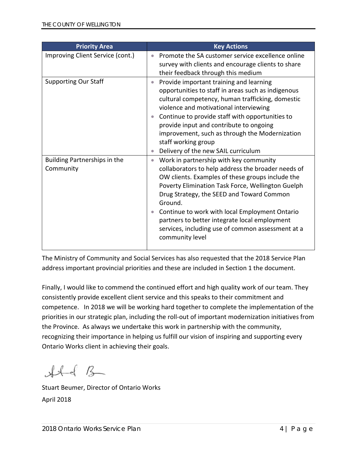| <b>Priority Area</b>                      | <b>Key Actions</b>                                                                                                                                                                                                                                                                                                                                                                                                                                                 |
|-------------------------------------------|--------------------------------------------------------------------------------------------------------------------------------------------------------------------------------------------------------------------------------------------------------------------------------------------------------------------------------------------------------------------------------------------------------------------------------------------------------------------|
| Improving Client Service (cont.)          | Promote the SA customer service excellence online<br>$\bullet$<br>survey with clients and encourage clients to share<br>their feedback through this medium                                                                                                                                                                                                                                                                                                         |
| <b>Supporting Our Staff</b>               | Provide important training and learning<br>$\bullet$<br>opportunities to staff in areas such as indigenous<br>cultural competency, human trafficking, domestic<br>violence and motivational interviewing<br>Continue to provide staff with opportunities to<br>$\bullet$<br>provide input and contribute to ongoing<br>improvement, such as through the Modernization<br>staff working group<br>Delivery of the new SAIL curriculum<br>$\bullet$                   |
| Building Partnerships in the<br>Community | Work in partnership with key community<br>$\bullet$<br>collaborators to help address the broader needs of<br>OW clients. Examples of these groups include the<br>Poverty Elimination Task Force, Wellington Guelph<br>Drug Strategy, the SEED and Toward Common<br>Ground.<br>Continue to work with local Employment Ontario<br>$\bullet$<br>partners to better integrate local employment<br>services, including use of common assessment at a<br>community level |

The Ministry of Community and Social Services has also requested that the 2018 Service Plan address important provincial priorities and these are included in Section 1 the document.

Finally, I would like to commend the continued effort and high quality work of our team. They consistently provide excellent client service and this speaks to their commitment and competence. In 2018 we will be working hard together to complete the implementation of the priorities in our strategic plan, including the roll-out of important modernization initiatives from the Province. As always we undertake this work in partnership with the community, recognizing their importance in helping us fulfill our vision of inspiring and supporting every Ontario Works client in achieving their goals.

 $H - 8$ 

Stuart Beumer, Director of Ontario Works April 2018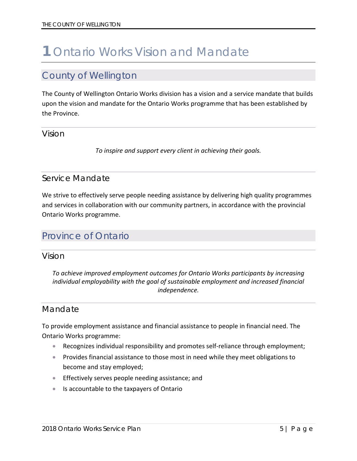# <span id="page-5-0"></span>**1** Ontario Works Vision and Mandate

## <span id="page-5-1"></span>County of Wellington

The County of Wellington Ontario Works division has a vision and a service mandate that builds upon the vision and mandate for the Ontario Works programme that has been established by the Province.

### <span id="page-5-2"></span>Vision

*To inspire and support every client in achieving their goals.*

### <span id="page-5-3"></span>Service Mandate

We strive to effectively serve people needing assistance by delivering high quality programmes and services in collaboration with our community partners, in accordance with the provincial Ontario Works programme.

## <span id="page-5-4"></span>Province of Ontario

<span id="page-5-5"></span>Vision

*To achieve improved employment outcomes for Ontario Works participants by increasing individual employability with the goal of sustainable employment and increased financial independence.*

### <span id="page-5-6"></span>Mandate

To provide employment assistance and financial assistance to people in financial need. The Ontario Works programme:

- Recognizes individual responsibility and promotes self-reliance through employment;
- Provides financial assistance to those most in need while they meet obligations to become and stay employed;
- Effectively serves people needing assistance; and
- Is accountable to the taxpayers of Ontario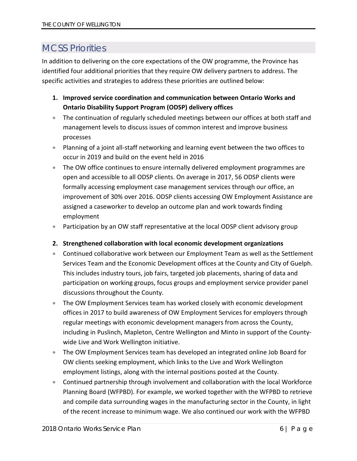# <span id="page-6-0"></span>MCSS Priorities

In addition to delivering on the core expectations of the OW programme, the Province has identified four additional priorities that they require OW delivery partners to address. The specific activities and strategies to address these priorities are outlined below:

- **1. Improved service coordination and communication between Ontario Works and Ontario Disability Support Program (ODSP) delivery offices**
- The continuation of regularly scheduled meetings between our offices at both staff and management levels to discuss issues of common interest and improve business processes
- Planning of a joint all-staff networking and learning event between the two offices to occur in 2019 and build on the event held in 2016
- The OW office continues to ensure internally delivered employment programmes are open and accessible to all ODSP clients. On average in 2017, 56 ODSP clients were formally accessing employment case management services through our office, an improvement of 30% over 2016. ODSP clients accessing OW Employment Assistance are assigned a caseworker to develop an outcome plan and work towards finding employment
- Participation by an OW staff representative at the local ODSP client advisory group

#### **2. Strengthened collaboration with local economic development organizations**

- Continued collaborative work between our Employment Team as well as the Settlement Services Team and the Economic Development offices at the County and City of Guelph. This includes industry tours, job fairs, targeted job placements, sharing of data and participation on working groups, focus groups and employment service provider panel discussions throughout the County.
- The OW Employment Services team has worked closely with economic development offices in 2017 to build awareness of OW Employment Services for employers through regular meetings with economic development managers from across the County, including in Puslinch, Mapleton, Centre Wellington and Minto in support of the Countywide Live and Work Wellington initiative.
- The OW Employment Services team has developed an integrated online Job Board for OW clients seeking employment, which links to the Live and Work Wellington employment listings, along with the internal positions posted at the County.
- Continued partnership through involvement and collaboration with the local Workforce Planning Board (WFPBD). For example, we worked together with the WFPBD to retrieve and compile data surrounding wages in the manufacturing sector in the County, in light of the recent increase to minimum wage. We also continued our work with the WFPBD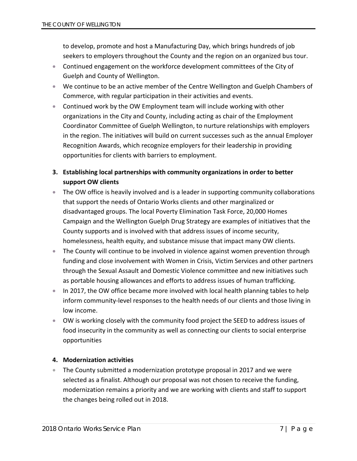to develop, promote and host a Manufacturing Day, which brings hundreds of job seekers to employers throughout the County and the region on an organized bus tour.

- Continued engagement on the workforce development committees of the City of Guelph and County of Wellington.
- We continue to be an active member of the Centre Wellington and Guelph Chambers of Commerce, with regular participation in their activities and events.
- Continued work by the OW Employment team will include working with other organizations in the City and County, including acting as chair of the Employment Coordinator Committee of Guelph Wellington, to nurture relationships with employers in the region. The initiatives will build on current successes such as the annual Employer Recognition Awards, which recognize employers for their leadership in providing opportunities for clients with barriers to employment.
- **3. Establishing local partnerships with community organizations in order to better support OW clients**
- The OW office is heavily involved and is a leader in supporting community collaborations that support the needs of Ontario Works clients and other marginalized or disadvantaged groups. The local Poverty Elimination Task Force, 20,000 Homes Campaign and the Wellington Guelph Drug Strategy are examples of initiatives that the County supports and is involved with that address issues of income security, homelessness, health equity, and substance misuse that impact many OW clients.
- The County will continue to be involved in violence against women prevention through funding and close involvement with Women in Crisis, Victim Services and other partners through the Sexual Assault and Domestic Violence committee and new initiatives such as portable housing allowances and efforts to address issues of human trafficking.
- In 2017, the OW office became more involved with local health planning tables to help inform community-level responses to the health needs of our clients and those living in low income.
- OW is working closely with the community food project the SEED to address issues of food insecurity in the community as well as connecting our clients to social enterprise opportunities

#### **4. Modernization activities**

• The County submitted a modernization prototype proposal in 2017 and we were selected as a finalist. Although our proposal was not chosen to receive the funding, modernization remains a priority and we are working with clients and staff to support the changes being rolled out in 2018.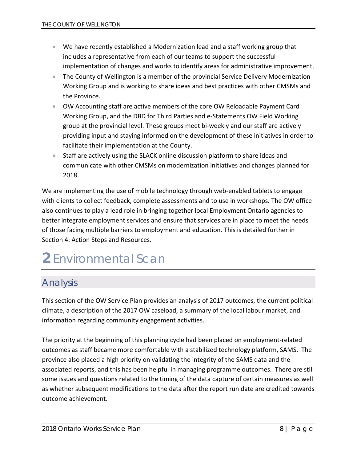- We have recently established a Modernization lead and a staff working group that includes a representative from each of our teams to support the successful implementation of changes and works to identify areas for administrative improvement.
- The County of Wellington is a member of the provincial Service Delivery Modernization Working Group and is working to share ideas and best practices with other CMSMs and the Province.
- OW Accounting staff are active members of the core OW Reloadable Payment Card Working Group, and the DBD for Third Parties and e-Statements OW Field Working group at the provincial level. These groups meet bi-weekly and our staff are actively providing input and staying informed on the development of these initiatives in order to facilitate their implementation at the County.
- Staff are actively using the SLACK online discussion platform to share ideas and communicate with other CMSMs on modernization initiatives and changes planned for 2018.

We are implementing the use of mobile technology through web-enabled tablets to engage with clients to collect feedback, complete assessments and to use in workshops. The OW office also continues to play a lead role in bringing together local Employment Ontario agencies to better integrate employment services and ensure that services are in place to meet the needs of those facing multiple barriers to employment and education. This is detailed further in Section 4: Action Steps and Resources.

# <span id="page-8-0"></span>**2** Environmental Scan

# <span id="page-8-1"></span>Analysis

This section of the OW Service Plan provides an analysis of 2017 outcomes, the current political climate, a description of the 2017 OW caseload, a summary of the local labour market, and information regarding community engagement activities.

The priority at the beginning of this planning cycle had been placed on employment-related outcomes as staff became more comfortable with a stabilized technology platform, SAMS. The province also placed a high priority on validating the integrity of the SAMS data and the associated reports, and this has been helpful in managing programme outcomes. There are still some issues and questions related to the timing of the data capture of certain measures as well as whether subsequent modifications to the data after the report run date are credited towards outcome achievement.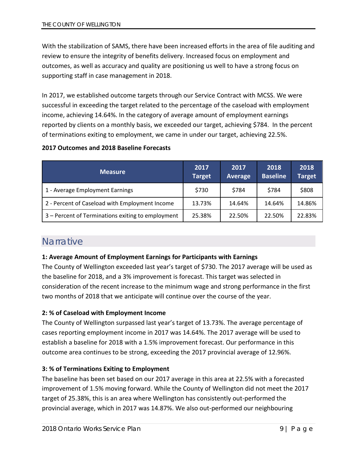With the stabilization of SAMS, there have been increased efforts in the area of file auditing and review to ensure the integrity of benefits delivery. Increased focus on employment and outcomes, as well as accuracy and quality are positioning us well to have a strong focus on supporting staff in case management in 2018.

In 2017, we established outcome targets through our Service Contract with MCSS. We were successful in exceeding the target related to the percentage of the caseload with employment income, achieving 14.64%. In the category of average amount of employment earnings reported by clients on a monthly basis, we exceeded our target, achieving \$784. In the percent of terminations exiting to employment, we came in under our target, achieving 22.5%.

#### **2017 Outcomes and 2018 Baseline Forecasts**

| <b>Measure</b>                                    | 2017<br><b>Target</b> | 2017<br><b>Average</b> | 2018<br><b>Baseline</b> | 2018<br><b>Target</b> |
|---------------------------------------------------|-----------------------|------------------------|-------------------------|-----------------------|
| 1 - Average Employment Earnings                   | \$730                 | \$784                  | \$784                   | \$808                 |
| 2 - Percent of Caseload with Employment Income    | 13.73%                | 14.64%                 | 14.64%                  | 14.86%                |
| 3 – Percent of Terminations exiting to employment | 25.38%                | 22.50%                 | 22.50%                  | 22.83%                |

### <span id="page-9-0"></span>**Narrative**

#### **1: Average Amount of Employment Earnings for Participants with Earnings**

The County of Wellington exceeded last year's target of \$730. The 2017 average will be used as the baseline for 2018, and a 3% improvement is forecast. This target was selected in consideration of the recent increase to the minimum wage and strong performance in the first two months of 2018 that we anticipate will continue over the course of the year.

#### **2: % of Caseload with Employment Income**

The County of Wellington surpassed last year's target of 13.73%. The average percentage of cases reporting employment income in 2017 was 14.64%. The 2017 average will be used to establish a baseline for 2018 with a 1.5% improvement forecast. Our performance in this outcome area continues to be strong, exceeding the 2017 provincial average of 12.96%.

#### **3: % of Terminations Exiting to Employment**

The baseline has been set based on our 2017 average in this area at 22.5% with a forecasted improvement of 1.5% moving forward. While the County of Wellington did not meet the 2017 target of 25.38%, this is an area where Wellington has consistently out-performed the provincial average, which in 2017 was 14.87%. We also out-performed our neighbouring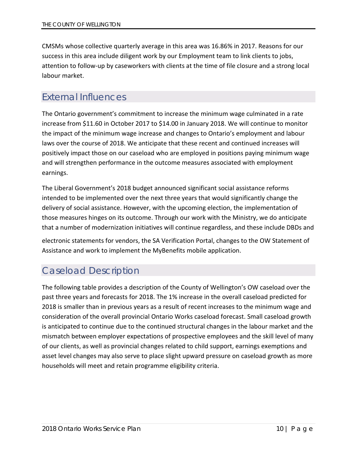CMSMs whose collective quarterly average in this area was 16.86% in 2017. Reasons for our success in this area include diligent work by our Employment team to link clients to jobs, attention to follow-up by caseworkers with clients at the time of file closure and a strong local labour market.

## <span id="page-10-0"></span>External Influences

The Ontario government's commitment to increase the minimum wage culminated in a rate increase from \$11.60 in October 2017 to \$14.00 in January 2018. We will continue to monitor the impact of the minimum wage increase and changes to Ontario's employment and labour laws over the course of 2018. We anticipate that these recent and continued increases will positively impact those on our caseload who are employed in positions paying minimum wage and will strengthen performance in the outcome measures associated with employment earnings.

The Liberal Government's 2018 budget announced significant social assistance reforms intended to be implemented over the next three years that would significantly change the delivery of social assistance. However, with the upcoming election, the implementation of those measures hinges on its outcome. Through our work with the Ministry, we do anticipate that a number of modernization initiatives will continue regardless, and these include DBDs and

electronic statements for vendors, the SA Verification Portal, changes to the OW Statement of Assistance and work to implement the MyBenefits mobile application.

# <span id="page-10-1"></span>Caseload Description

The following table provides a description of the County of Wellington's OW caseload over the past three years and forecasts for 2018. The 1% increase in the overall caseload predicted for 2018 is smaller than in previous years as a result of recent increases to the minimum wage and consideration of the overall provincial Ontario Works caseload forecast. Small caseload growth is anticipated to continue due to the continued structural changes in the labour market and the mismatch between employer expectations of prospective employees and the skill level of many of our clients, as well as provincial changes related to child support, earnings exemptions and asset level changes may also serve to place slight upward pressure on caseload growth as more households will meet and retain programme eligibility criteria.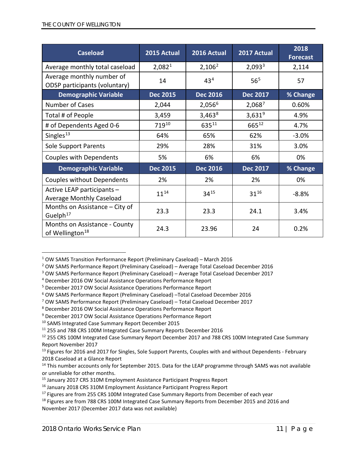| <b>Caseload</b>                                               | 2015 Actual        | 2016 Actual        | 2017 Actual        | 2018<br><b>Forecast</b> |
|---------------------------------------------------------------|--------------------|--------------------|--------------------|-------------------------|
| Average monthly total caseload                                | 2,082 <sup>1</sup> | 2,106 <sup>2</sup> | 2,093 <sup>3</sup> | 2,114                   |
| Average monthly number of<br>ODSP participants (voluntary)    | 14                 | 43 <sup>4</sup>    | 56 <sup>5</sup>    | 57                      |
| <b>Demographic Variable</b>                                   | <b>Dec 2015</b>    | <b>Dec 2016</b>    | <b>Dec 2017</b>    | % Change                |
| <b>Number of Cases</b>                                        | 2,044              | 2,056 <sup>6</sup> | 2,0687             | 0.60%                   |
| Total # of People                                             | 3,459              | 3,463 <sup>8</sup> | $3,631^{9}$        | 4.9%                    |
| # of Dependents Aged 0-6                                      | 71910              | 63511              | 66512              | 4.7%                    |
| Singles <sup>13</sup>                                         | 64%                | 65%                | 62%                | $-3.0%$                 |
| <b>Sole Support Parents</b>                                   | 29%                | 28%                | 31%                | 3.0%                    |
| <b>Couples with Dependents</b>                                | 5%                 | 6%                 | 6%                 | 0%                      |
| <b>Demographic Variable</b>                                   | <b>Dec 2015</b>    | <b>Dec 2016</b>    | <b>Dec 2017</b>    | % Change                |
| Couples without Dependents                                    | 2%                 | 2%                 | 2%                 | 0%                      |
| Active LEAP participants -<br><b>Average Monthly Caseload</b> | $11^{14}$          | $34^{15}$          | $31^{16}$          | $-8.8%$                 |
| Months on Assistance $-$ City of<br>Guelph <sup>17</sup>      | 23.3               | 23.3               | 24.1               | 3.4%                    |
| Months on Assistance - County<br>of Wellington <sup>18</sup>  | 24.3               | 23.96              | 24                 | 0.2%                    |

<span id="page-11-0"></span> <sup>1</sup> OW SAMS Transition Performance Report (Preliminary Caseload) – March 2016

<span id="page-11-1"></span><sup>2</sup> OW SAMS Performance Report (Preliminary Caseload) – Average Total Caseload December 2016

<span id="page-11-2"></span><sup>3</sup> OW SAMS Performance Report (Preliminary Caseload) – Average Total Caseload December 2017

<span id="page-11-3"></span><sup>4</sup> December 2016 OW Social Assistance Operations Performance Report

<span id="page-11-4"></span><sup>5</sup> December 2017 OW Social Assistance Operations Performance Report

<span id="page-11-5"></span><sup>6</sup> OW SAMS Performance Report (Preliminary Caseload) –Total Caseload December 2016

<span id="page-11-6"></span><sup>7</sup> OW SAMS Performance Report (Preliminary Caseload) – Total Caseload December 2017

<span id="page-11-7"></span><sup>8</sup> December 2016 OW Social Assistance Operations Performance Report

<span id="page-11-8"></span><sup>9</sup> December 2017 OW Social Assistance Operations Performance Report

<span id="page-11-10"></span><span id="page-11-9"></span><sup>&</sup>lt;sup>10</sup> SAMS Integrated Case Summary Report December 2015<br><sup>11</sup> 255 and 788 CRS 100M Integrated Case Summary Reports December 2016

<span id="page-11-11"></span> $12$  255 CRS 100M Integrated Case Summary Report December 2017 and 788 CRS 100M Integrated Case Summary Report November 2017

<span id="page-11-12"></span><sup>&</sup>lt;sup>13</sup> Figures for 2016 and 2017 for Singles, Sole Support Parents, Couples with and without Dependents - February 2018 Caseload at a Glance Report

<span id="page-11-13"></span><sup>&</sup>lt;sup>14</sup> This number accounts only for September 2015. Data for the LEAP programme through SAMS was not available or unreliable for other months.

<span id="page-11-14"></span><sup>&</sup>lt;sup>15</sup> January 2017 CRS 310M Employment Assistance Participant Progress Report

<span id="page-11-15"></span><sup>&</sup>lt;sup>16</sup> January 2018 CRS 310M Employment Assistance Participant Progress Report

<span id="page-11-16"></span><sup>&</sup>lt;sup>17</sup> Figures are from 255 CRS 100M Integrated Case Summary Reports from December of each year

<span id="page-11-17"></span><sup>&</sup>lt;sup>18</sup> Figures are from 788 CRS 100M Integrated Case Summary Reports from December 2015 and 2016 and November 2017 (December 2017 data was not available)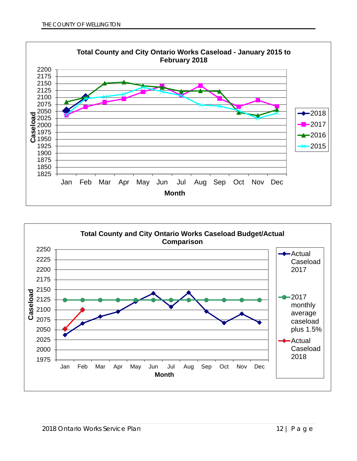

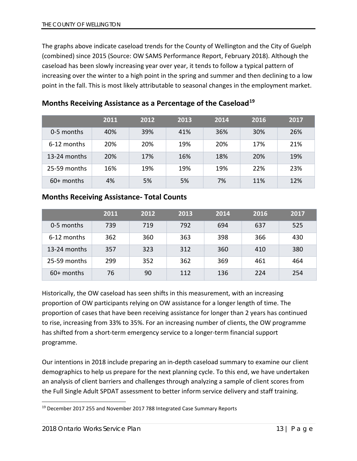The graphs above indicate caseload trends for the County of Wellington and the City of Guelph (combined) since 2015 (Source: OW SAMS Performance Report, February 2018). Although the caseload has been slowly increasing year over year, it tends to follow a typical pattern of increasing over the winter to a high point in the spring and summer and then declining to a low point in the fall. This is most likely attributable to seasonal changes in the employment market.

|              | 2011 | 2012 | 2013 | 2014 | 2016 | 2017 |
|--------------|------|------|------|------|------|------|
| 0-5 months   | 40%  | 39%  | 41%  | 36%  | 30%  | 26%  |
| 6-12 months  | 20%  | 20%  | 19%  | 20%  | 17%  | 21%  |
| 13-24 months | 20%  | 17%  | 16%  | 18%  | 20%  | 19%  |
| 25-59 months | 16%  | 19%  | 19%  | 19%  | 22%  | 23%  |
| $60+$ months | 4%   | 5%   | 5%   | 7%   | 11%  | 12%  |

### **Months Receiving Assistance as a Percentage of the Caseload[19](#page-13-0)**

### **Months Receiving Assistance- Total Counts**

|              | 2011 | 2012 | 2013 | 2014 | 2016 | 2017 |
|--------------|------|------|------|------|------|------|
| 0-5 months   | 739  | 719  | 792  | 694  | 637  | 525  |
| 6-12 months  | 362  | 360  | 363  | 398  | 366  | 430  |
| 13-24 months | 357  | 323  | 312  | 360  | 410  | 380  |
| 25-59 months | 299  | 352  | 362  | 369  | 461  | 464  |
| $60+$ months | 76   | 90   | 112  | 136  | 224  | 254  |

Historically, the OW caseload has seen shifts in this measurement, with an increasing proportion of OW participants relying on OW assistance for a longer length of time. The proportion of cases that have been receiving assistance for longer than 2 years has continued to rise, increasing from 33% to 35%. For an increasing number of clients, the OW programme has shifted from a short-term emergency service to a longer-term financial support programme.

Our intentions in 2018 include preparing an in-depth caseload summary to examine our client demographics to help us prepare for the next planning cycle. To this end, we have undertaken an analysis of client barriers and challenges through analyzing a sample of client scores from the Full Single Adult SPDAT assessment to better inform service delivery and staff training.

<span id="page-13-0"></span><sup>&</sup>lt;sup>19</sup> December 2017 255 and November 2017 788 Integrated Case Summary Reports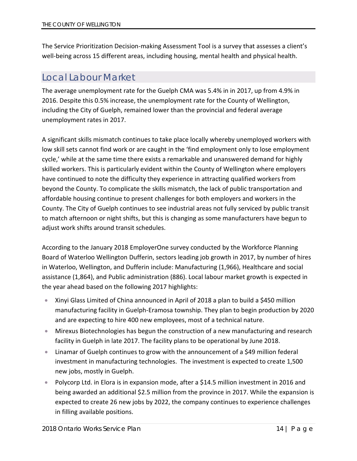The Service Prioritization Decision-making Assessment Tool is a survey that assesses a client's well-being across 15 different areas, including housing, mental health and physical health.

## <span id="page-14-0"></span>Local Labour Market

The average unemployment rate for the Guelph CMA was 5.4% in in 2017, up from 4.9% in 2016. Despite this 0.5% increase, the unemployment rate for the County of Wellington, including the City of Guelph, remained lower than the provincial and federal average unemployment rates in 2017.

A significant skills mismatch continues to take place locally whereby unemployed workers with low skill sets cannot find work or are caught in the 'find employment only to lose employment cycle,' while at the same time there exists a remarkable and unanswered demand for highly skilled workers. This is particularly evident within the County of Wellington where employers have continued to note the difficulty they experience in attracting qualified workers from beyond the County. To complicate the skills mismatch, the lack of public transportation and affordable housing continue to present challenges for both employers and workers in the County. The City of Guelph continues to see industrial areas not fully serviced by public transit to match afternoon or night shifts, but this is changing as some manufacturers have begun to adjust work shifts around transit schedules.

According to the January 2018 EmployerOne survey conducted by the Workforce Planning Board of Waterloo Wellington Dufferin, sectors leading job growth in 2017, by number of hires in Waterloo, Wellington, and Dufferin include: Manufacturing (1,966), Healthcare and social assistance (1,864), and Public administration (886). Local labour market growth is expected in the year ahead based on the following 2017 highlights:

- Xinyi Glass Limited of China announced in April of 2018 a plan to build a \$450 million manufacturing facility in Guelph-Eramosa township. They plan to begin production by 2020 and are expecting to hire 400 new employees, most of a technical nature.
- Mirexus Biotechnologies has begun the construction of a new manufacturing and research facility in Guelph in late 2017. The facility plans to be operational by June 2018.
- Linamar of Guelph continues to grow with the announcement of a \$49 million federal investment in manufacturing technologies. The investment is expected to create 1,500 new jobs, mostly in Guelph.
- Polycorp Ltd. in Elora is in expansion mode, after a \$14.5 million investment in 2016 and being awarded an additional \$2.5 million from the province in 2017. While the expansion is expected to create 26 new jobs by 2022, the company continues to experience challenges in filling available positions.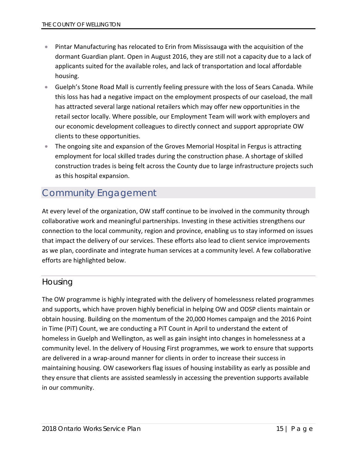- Pintar Manufacturing has relocated to Erin from Mississauga with the acquisition of the dormant Guardian plant. Open in August 2016, they are still not a capacity due to a lack of applicants suited for the available roles, and lack of transportation and local affordable housing.
- Guelph's Stone Road Mall is currently feeling pressure with the loss of Sears Canada. While this loss has had a negative impact on the employment prospects of our caseload, the mall has attracted several large national retailers which may offer new opportunities in the retail sector locally. Where possible, our Employment Team will work with employers and our economic development colleagues to directly connect and support appropriate OW clients to these opportunities.
- The ongoing site and expansion of the Groves Memorial Hospital in Fergus is attracting employment for local skilled trades during the construction phase. A shortage of skilled construction trades is being felt across the County due to large infrastructure projects such as this hospital expansion.

## <span id="page-15-0"></span>Community Engagement

At every level of the organization, OW staff continue to be involved in the community through collaborative work and meaningful partnerships. Investing in these activities strengthens our connection to the local community, region and province, enabling us to stay informed on issues that impact the delivery of our services. These efforts also lead to client service improvements as we plan, coordinate and integrate human services at a community level. A few collaborative efforts are highlighted below.

### <span id="page-15-1"></span>Housing

The OW programme is highly integrated with the delivery of homelessness related programmes and supports, which have proven highly beneficial in helping OW and ODSP clients maintain or obtain housing. Building on the momentum of the 20,000 Homes campaign and the 2016 Point in Time (PiT) Count, we are conducting a PiT Count in April to understand the extent of homeless in Guelph and Wellington, as well as gain insight into changes in homelessness at a community level. In the delivery of Housing First programmes, we work to ensure that supports are delivered in a wrap-around manner for clients in order to increase their success in maintaining housing. OW caseworkers flag issues of housing instability as early as possible and they ensure that clients are assisted seamlessly in accessing the prevention supports available in our community.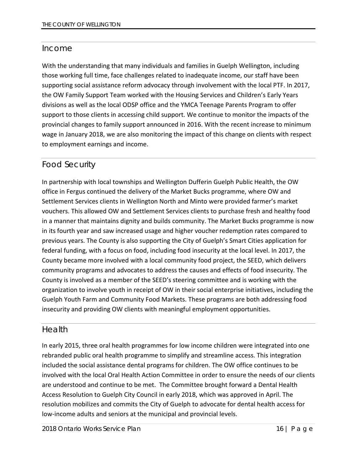### <span id="page-16-0"></span>Income

With the understanding that many individuals and families in Guelph Wellington, including those working full time, face challenges related to inadequate income, our staff have been supporting social assistance reform advocacy through involvement with the local PTF. In 2017, the OW Family Support Team worked with the Housing Services and Children's Early Years divisions as well as the local ODSP office and the YMCA Teenage Parents Program to offer support to those clients in accessing child support. We continue to monitor the impacts of the provincial changes to family support announced in 2016. With the recent increase to minimum wage in January 2018, we are also monitoring the impact of this change on clients with respect to employment earnings and income.

### <span id="page-16-1"></span>Food Security

In partnership with local townships and Wellington Dufferin Guelph Public Health, the OW office in Fergus continued the delivery of the Market Bucks programme, where OW and Settlement Services clients in Wellington North and Minto were provided farmer's market vouchers. This allowed OW and Settlement Services clients to purchase fresh and healthy food in a manner that maintains dignity and builds community. The Market Bucks programme is now in its fourth year and saw increased usage and higher voucher redemption rates compared to previous years. The County is also supporting the City of Guelph's Smart Cities application for federal funding, with a focus on food, including food insecurity at the local level. In 2017, the County became more involved with a local community food project, the SEED, which delivers community programs and advocates to address the causes and effects of food insecurity. The County is involved as a member of the SEED's steering committee and is working with the organization to involve youth in receipt of OW in their social enterprise initiatives, including the Guelph Youth Farm and Community Food Markets. These programs are both addressing food insecurity and providing OW clients with meaningful employment opportunities.

### <span id="page-16-2"></span>Health

In early 2015, three oral health programmes for low income children were integrated into one rebranded public oral health programme to simplify and streamline access. This integration included the social assistance dental programs for children. The OW office continues to be involved with the local Oral Health Action Committee in order to ensure the needs of our clients are understood and continue to be met. The Committee brought forward a Dental Health Access Resolution to Guelph City Council in early 2018, which was approved in April. The resolution mobilizes and commits the City of Guelph to advocate for dental health access for low-income adults and seniors at the municipal and provincial levels.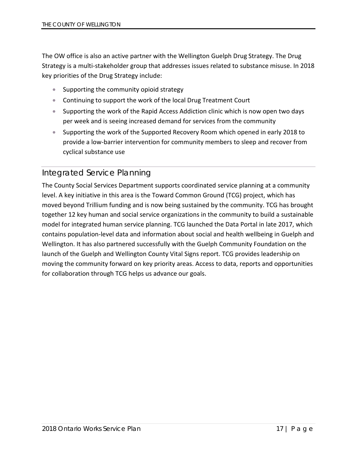The OW office is also an active partner with the Wellington Guelph Drug Strategy. The Drug Strategy is a multi-stakeholder group that addresses issues related to substance misuse. In 2018 key priorities of the Drug Strategy include:

- Supporting the community opioid strategy
- Continuing to support the work of the local Drug Treatment Court
- Supporting the work of the Rapid Access Addiction clinic which is now open two days per week and is seeing increased demand for services from the community
- Supporting the work of the Supported Recovery Room which opened in early 2018 to provide a low-barrier intervention for community members to sleep and recover from cyclical substance use

### <span id="page-17-0"></span>Integrated Service Planning

The County Social Services Department supports coordinated service planning at a community level. A key initiative in this area is the Toward Common Ground (TCG) project, which has moved beyond Trillium funding and is now being sustained by the community. TCG has brought together 12 key human and social service organizations in the community to build a sustainable model for integrated human service planning. TCG launched the Data Portal in late 2017, which contains population-level data and information about social and health wellbeing in Guelph and Wellington. It has also partnered successfully with the Guelph Community Foundation on the launch of the Guelph and Wellington County Vital Signs report. TCG provides leadership on moving the community forward on key priority areas. Access to data, reports and opportunities for collaboration through TCG helps us advance our goals.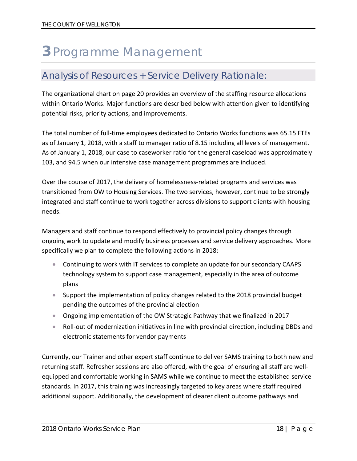# <span id="page-18-0"></span>**3** Programme Management

### <span id="page-18-1"></span>Analysis of Resources + Service Delivery Rationale:

The organizational chart on page 20 provides an overview of the staffing resource allocations within Ontario Works. Major functions are described below with attention given to identifying potential risks, priority actions, and improvements.

The total number of full-time employees dedicated to Ontario Works functions was 65.15 FTEs as of January 1, 2018, with a staff to manager ratio of 8.15 including all levels of management. As of January 1, 2018, our case to caseworker ratio for the general caseload was approximately 103, and 94.5 when our intensive case management programmes are included.

Over the course of 2017, the delivery of homelessness-related programs and services was transitioned from OW to Housing Services. The two services, however, continue to be strongly integrated and staff continue to work together across divisions to support clients with housing needs.

Managers and staff continue to respond effectively to provincial policy changes through ongoing work to update and modify business processes and service delivery approaches. More specifically we plan to complete the following actions in 2018:

- Continuing to work with IT services to complete an update for our secondary CAAPS technology system to support case management, especially in the area of outcome plans
- Support the implementation of policy changes related to the 2018 provincial budget pending the outcomes of the provincial election
- Ongoing implementation of the OW Strategic Pathway that we finalized in 2017
- Roll-out of modernization initiatives in line with provincial direction, including DBDs and electronic statements for vendor payments

Currently, our Trainer and other expert staff continue to deliver SAMS training to both new and returning staff. Refresher sessions are also offered, with the goal of ensuring all staff are wellequipped and comfortable working in SAMS while we continue to meet the established service standards. In 2017, this training was increasingly targeted to key areas where staff required additional support. Additionally, the development of clearer client outcome pathways and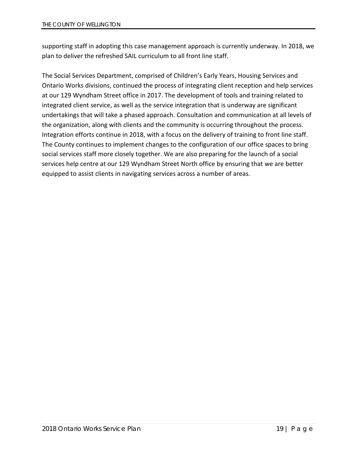supporting staff in adopting this case management approach is currently underway. In 2018, we plan to deliver the refreshed SAIL curriculum to all front line staff.

The Social Services Department, comprised of Children's Early Years, Housing Services and Ontario Works divisions, continued the process of integrating client reception and help services at our 129 Wyndham Street office in 2017. The development of tools and training related to integrated client service, as well as the service integration that is underway are significant undertakings that will take a phased approach. Consultation and communication at all levels of the organization, along with clients and the community is occurring throughout the process. Integration efforts continue in 2018, with a focus on the delivery of training to front line staff. The County continues to implement changes to the configuration of our office spaces to bring social services staff more closely together. We are also preparing for the launch of a social services help centre at our 129 Wyndham Street North office by ensuring that we are better equipped to assist clients in navigating services across a number of areas.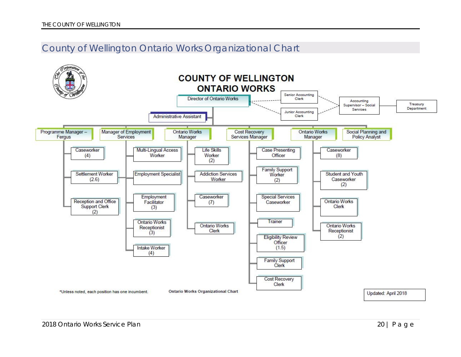### County of Wellington Ontario Works Organizational Chart

<span id="page-20-0"></span>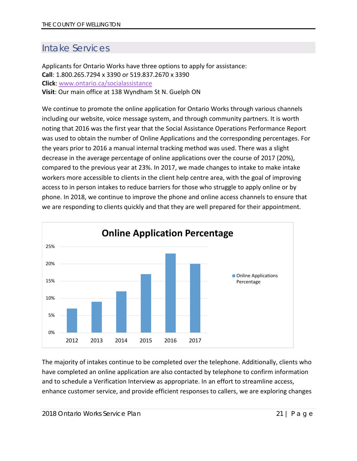# <span id="page-21-0"></span>Intake Services

Applicants for Ontario Works have three options to apply for assistance: **Call**: 1.800.265.7294 x 3390 or 519.837.2670 x 3390 **Click**: [www.ontario.ca/socialassistance](http://www.ontario.ca/socialassistance) **Visit**: Our main office at 138 Wyndham St N. Guelph ON

We continue to promote the online application for Ontario Works through various channels including our website, voice message system, and through community partners. It is worth noting that 2016 was the first year that the Social Assistance Operations Performance Report was used to obtain the number of Online Applications and the corresponding percentages. For the years prior to 2016 a manual internal tracking method was used. There was a slight decrease in the average percentage of online applications over the course of 2017 (20%), compared to the previous year at 23%. In 2017, we made changes to intake to make intake workers more accessible to clients in the client help centre area, with the goal of improving access to in person intakes to reduce barriers for those who struggle to apply online or by phone. In 2018, we continue to improve the phone and online access channels to ensure that we are responding to clients quickly and that they are well prepared for their appointment.



The majority of intakes continue to be completed over the telephone. Additionally, clients who have completed an online application are also contacted by telephone to confirm information and to schedule a Verification Interview as appropriate. In an effort to streamline access, enhance customer service, and provide efficient responses to callers, we are exploring changes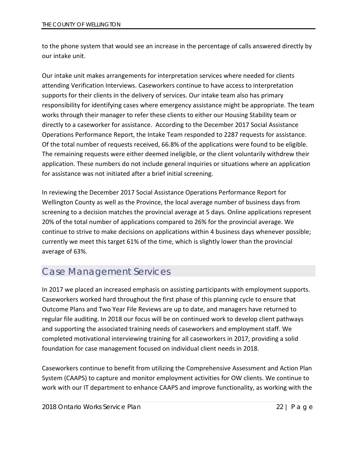to the phone system that would see an increase in the percentage of calls answered directly by our intake unit.

Our intake unit makes arrangements for interpretation services where needed for clients attending Verification Interviews. Caseworkers continue to have access to interpretation supports for their clients in the delivery of services. Our intake team also has primary responsibility for identifying cases where emergency assistance might be appropriate. The team works through their manager to refer these clients to either our Housing Stability team or directly to a caseworker for assistance. According to the December 2017 Social Assistance Operations Performance Report, the Intake Team responded to 2287 requests for assistance. Of the total number of requests received, 66.8% of the applications were found to be eligible. The remaining requests were either deemed ineligible, or the client voluntarily withdrew their application. These numbers do not include general inquiries or situations where an application for assistance was not initiated after a brief initial screening.

In reviewing the December 2017 Social Assistance Operations Performance Report for Wellington County as well as the Province, the local average number of business days from screening to a decision matches the provincial average at 5 days. Online applications represent 20% of the total number of applications compared to 26% for the provincial average. We continue to strive to make decisions on applications within 4 business days whenever possible; currently we meet this target 61% of the time, which is slightly lower than the provincial average of 63%.

# <span id="page-22-0"></span>Case Management Services

In 2017 we placed an increased emphasis on assisting participants with employment supports. Caseworkers worked hard throughout the first phase of this planning cycle to ensure that Outcome Plans and Two Year File Reviews are up to date, and managers have returned to regular file auditing. In 2018 our focus will be on continued work to develop client pathways and supporting the associated training needs of caseworkers and employment staff. We completed motivational interviewing training for all caseworkers in 2017, providing a solid foundation for case management focused on individual client needs in 2018.

Caseworkers continue to benefit from utilizing the Comprehensive Assessment and Action Plan System (CAAPS) to capture and monitor employment activities for OW clients. We continue to work with our IT department to enhance CAAPS and improve functionality, as working with the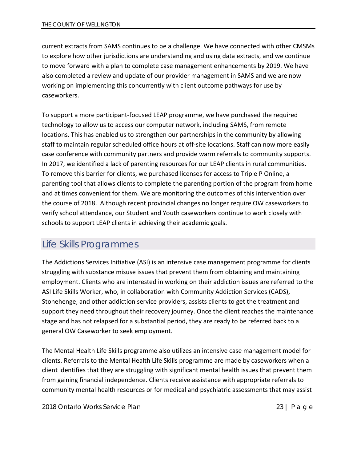current extracts from SAMS continues to be a challenge. We have connected with other CMSMs to explore how other jurisdictions are understanding and using data extracts, and we continue to move forward with a plan to complete case management enhancements by 2019. We have also completed a review and update of our provider management in SAMS and we are now working on implementing this concurrently with client outcome pathways for use by caseworkers.

To support a more participant-focused LEAP programme, we have purchased the required technology to allow us to access our computer network, including SAMS, from remote locations. This has enabled us to strengthen our partnerships in the community by allowing staff to maintain regular scheduled office hours at off-site locations. Staff can now more easily case conference with community partners and provide warm referrals to community supports. In 2017, we identified a lack of parenting resources for our LEAP clients in rural communities. To remove this barrier for clients, we purchased licenses for access to Triple P Online, a parenting tool that allows clients to complete the parenting portion of the program from home and at times convenient for them. We are monitoring the outcomes of this intervention over the course of 2018. Although recent provincial changes no longer require OW caseworkers to verify school attendance, our Student and Youth caseworkers continue to work closely with schools to support LEAP clients in achieving their academic goals.

# <span id="page-23-0"></span>Life Skills Programmes

The Addictions Services Initiative (ASI) is an intensive case management programme for clients struggling with substance misuse issues that prevent them from obtaining and maintaining employment. Clients who are interested in working on their addiction issues are referred to the ASI Life Skills Worker, who, in collaboration with Community Addiction Services (CADS), Stonehenge, and other addiction service providers, assists clients to get the treatment and support they need throughout their recovery journey. Once the client reaches the maintenance stage and has not relapsed for a substantial period, they are ready to be referred back to a general OW Caseworker to seek employment.

The Mental Health Life Skills programme also utilizes an intensive case management model for clients. Referrals to the Mental Health Life Skills programme are made by caseworkers when a client identifies that they are struggling with significant mental health issues that prevent them from gaining financial independence. Clients receive assistance with appropriate referrals to community mental health resources or for medical and psychiatric assessments that may assist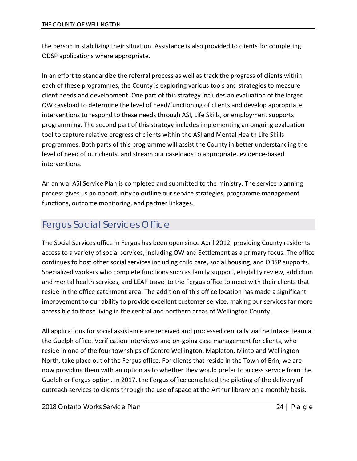the person in stabilizing their situation. Assistance is also provided to clients for completing ODSP applications where appropriate.

In an effort to standardize the referral process as well as track the progress of clients within each of these programmes, the County is exploring various tools and strategies to measure client needs and development. One part of this strategy includes an evaluation of the larger OW caseload to determine the level of need/functioning of clients and develop appropriate interventions to respond to these needs through ASI, Life Skills, or employment supports programming. The second part of this strategy includes implementing an ongoing evaluation tool to capture relative progress of clients within the ASI and Mental Health Life Skills programmes. Both parts of this programme will assist the County in better understanding the level of need of our clients, and stream our caseloads to appropriate, evidence-based interventions.

An annual ASI Service Plan is completed and submitted to the ministry. The service planning process gives us an opportunity to outline our service strategies, programme management functions, outcome monitoring, and partner linkages.

## <span id="page-24-0"></span>Fergus Social Services Office

The Social Services office in Fergus has been open since April 2012, providing County residents access to a variety of social services, including OW and Settlement as a primary focus. The office continues to host other social services including child care, social housing, and ODSP supports. Specialized workers who complete functions such as family support, eligibility review, addiction and mental health services, and LEAP travel to the Fergus office to meet with their clients that reside in the office catchment area. The addition of this office location has made a significant improvement to our ability to provide excellent customer service, making our services far more accessible to those living in the central and northern areas of Wellington County.

All applications for social assistance are received and processed centrally via the Intake Team at the Guelph office. Verification Interviews and on-going case management for clients, who reside in one of the four townships of Centre Wellington, Mapleton, Minto and Wellington North, take place out of the Fergus office. For clients that reside in the Town of Erin, we are now providing them with an option as to whether they would prefer to access service from the Guelph or Fergus option. In 2017, the Fergus office completed the piloting of the delivery of outreach services to clients through the use of space at the Arthur library on a monthly basis.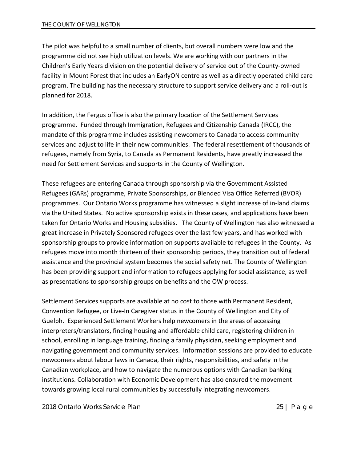The pilot was helpful to a small number of clients, but overall numbers were low and the programme did not see high utilization levels. We are working with our partners in the Children's Early Years division on the potential delivery of service out of the County-owned facility in Mount Forest that includes an EarlyON centre as well as a directly operated child care program. The building has the necessary structure to support service delivery and a roll-out is planned for 2018.

In addition, the Fergus office is also the primary location of the Settlement Services programme. Funded through [Immigration, Refugees and Citizenship Canada](http://www.cic.gc.ca/english/department/) (IRCC), the mandate of this programme includes assisting newcomers to Canada to access community services and adjust to life in their new communities. The federal resettlement of thousands of refugees, namely from Syria, to Canada as Permanent Residents, have greatly increased the need for Settlement Services and supports in the County of Wellington.

These refugees are entering Canada through sponsorship via the Government Assisted Refugees (GARs) programme, Private Sponsorships, or Blended Visa Office Referred (BVOR) programmes. Our Ontario Works programme has witnessed a slight increase of in-land claims via the United States. No active sponsorship exists in these cases, and applications have been taken for Ontario Works and Housing subsidies. The County of Wellington has also witnessed a great increase in Privately Sponsored refugees over the last few years, and has worked with sponsorship groups to provide information on supports available to refugees in the County. As refugees move into month thirteen of their sponsorship periods, they transition out of federal assistance and the provincial system becomes the social safety net. The County of Wellington has been providing support and information to refugees applying for social assistance, as well as presentations to sponsorship groups on benefits and the OW process.

Settlement Services supports are available at no cost to those with Permanent Resident, Convention Refugee, or Live-In Caregiver status in the County of Wellington and City of Guelph. Experienced Settlement Workers help newcomers in the areas of accessing interpreters/translators, finding housing and affordable child care, registering children in school, enrolling in language training, finding a family physician, seeking employment and navigating government and community services. Information sessions are provided to educate newcomers about labour laws in Canada, their rights, responsibilities, and safety in the Canadian workplace, and how to navigate the numerous options with Canadian banking institutions. Collaboration with Economic Development has also ensured the movement towards growing local rural communities by successfully integrating newcomers.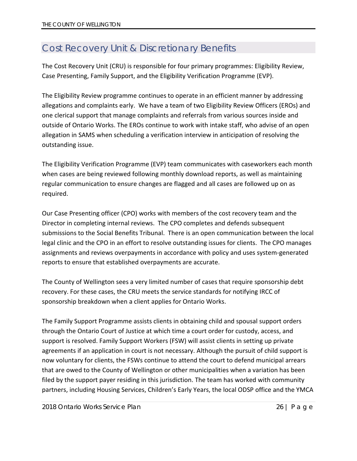# <span id="page-26-0"></span>Cost Recovery Unit & Discretionary Benefits

The Cost Recovery Unit (CRU) is responsible for four primary programmes: Eligibility Review, Case Presenting, Family Support, and the Eligibility Verification Programme (EVP).

The Eligibility Review programme continues to operate in an efficient manner by addressing allegations and complaints early. We have a team of two Eligibility Review Officers (EROs) and one clerical support that manage complaints and referrals from various sources inside and outside of Ontario Works. The EROs continue to work with intake staff, who advise of an open allegation in SAMS when scheduling a verification interview in anticipation of resolving the outstanding issue.

The Eligibility Verification Programme (EVP) team communicates with caseworkers each month when cases are being reviewed following monthly download reports, as well as maintaining regular communication to ensure changes are flagged and all cases are followed up on as required.

Our Case Presenting officer (CPO) works with members of the cost recovery team and the Director in completing internal reviews. The CPO completes and defends subsequent submissions to the Social Benefits Tribunal. There is an open communication between the local legal clinic and the CPO in an effort to resolve outstanding issues for clients. The CPO manages assignments and reviews overpayments in accordance with policy and uses system-generated reports to ensure that established overpayments are accurate.

The County of Wellington sees a very limited number of cases that require sponsorship debt recovery. For these cases, the CRU meets the service standards for notifying IRCC of sponsorship breakdown when a client applies for Ontario Works.

The Family Support Programme assists clients in obtaining child and spousal support orders through the Ontario Court of Justice at which time a court order for custody, access, and support is resolved. Family Support Workers (FSW) will assist clients in setting up private agreements if an application in court is not necessary. Although the pursuit of child support is now voluntary for clients, the FSWs continue to attend the court to defend municipal arrears that are owed to the County of Wellington or other municipalities when a variation has been filed by the support payer residing in this jurisdiction. The team has worked with community partners, including Housing Services, Children's Early Years, the local ODSP office and the YMCA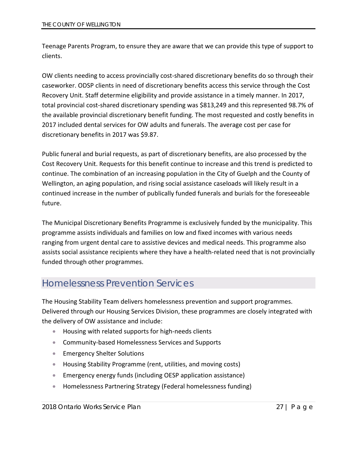Teenage Parents Program, to ensure they are aware that we can provide this type of support to clients.

OW clients needing to access provincially cost-shared discretionary benefits do so through their caseworker. ODSP clients in need of discretionary benefits access this service through the Cost Recovery Unit. Staff determine eligibility and provide assistance in a timely manner. In 2017, total provincial cost-shared discretionary spending was \$813,249 and this represented 98.7% of the available provincial discretionary benefit funding. The most requested and costly benefits in 2017 included dental services for OW adults and funerals. The average cost per case for discretionary benefits in 2017 was \$9.87.

Public funeral and burial requests, as part of discretionary benefits, are also processed by the Cost Recovery Unit. Requests for this benefit continue to increase and this trend is predicted to continue. The combination of an increasing population in the City of Guelph and the County of Wellington, an aging population, and rising social assistance caseloads will likely result in a continued increase in the number of publically funded funerals and burials for the foreseeable future.

The Municipal Discretionary Benefits Programme is exclusively funded by the municipality. This programme assists individuals and families on low and fixed incomes with various needs ranging from urgent dental care to assistive devices and medical needs. This programme also assists social assistance recipients where they have a health-related need that is not provincially funded through other programmes.

## <span id="page-27-0"></span>Homelessness Prevention Services

The Housing Stability Team delivers homelessness prevention and support programmes. Delivered through our Housing Services Division, these programmes are closely integrated with the delivery of OW assistance and include:

- Housing with related supports for high-needs clients
- Community-based Homelessness Services and Supports
- Emergency Shelter Solutions
- Housing Stability Programme (rent, utilities, and moving costs)
- Emergency energy funds (including OESP application assistance)
- Homelessness Partnering Strategy (Federal homelessness funding)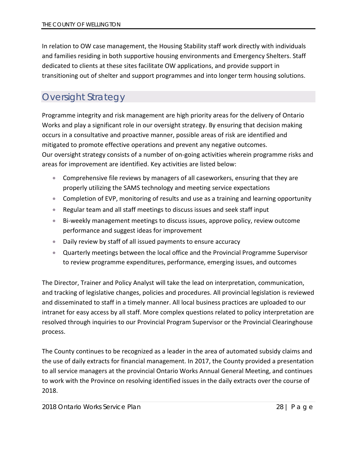In relation to OW case management, the Housing Stability staff work directly with individuals and families residing in both supportive housing environments and Emergency Shelters. Staff dedicated to clients at these sites facilitate OW applications, and provide support in transitioning out of shelter and support programmes and into longer term housing solutions.

# <span id="page-28-0"></span>Oversight Strategy

Programme integrity and risk management are high priority areas for the delivery of Ontario Works and play a significant role in our oversight strategy. By ensuring that decision making occurs in a consultative and proactive manner, possible areas of risk are identified and mitigated to promote effective operations and prevent any negative outcomes. Our oversight strategy consists of a number of on-going activities wherein programme risks and areas for improvement are identified. Key activities are listed below:

- Comprehensive file reviews by managers of all caseworkers, ensuring that they are properly utilizing the SAMS technology and meeting service expectations
- Completion of EVP, monitoring of results and use as a training and learning opportunity
- Regular team and all staff meetings to discuss issues and seek staff input
- Bi-weekly management meetings to discuss issues, approve policy, review outcome performance and suggest ideas for improvement
- Daily review by staff of all issued payments to ensure accuracy
- Quarterly meetings between the local office and the Provincial Programme Supervisor to review programme expenditures, performance, emerging issues, and outcomes

The Director, Trainer and Policy Analyst will take the lead on interpretation, communication, and tracking of legislative changes, policies and procedures. All provincial legislation is reviewed and disseminated to staff in a timely manner. All local business practices are uploaded to our intranet for easy access by all staff. More complex questions related to policy interpretation are resolved through inquiries to our Provincial Program Supervisor or the Provincial Clearinghouse process.

The County continues to be recognized as a leader in the area of automated subsidy claims and the use of daily extracts for financial management. In 2017, the County provided a presentation to all service managers at the provincial Ontario Works Annual General Meeting, and continues to work with the Province on resolving identified issues in the daily extracts over the course of 2018.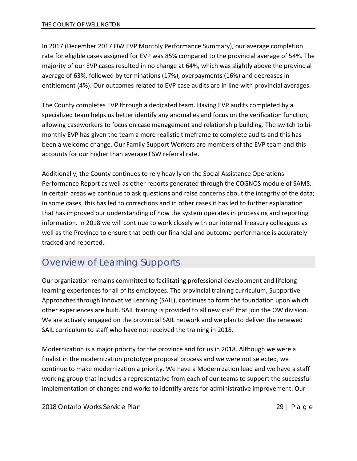In 2017 (December 2017 OW EVP Monthly Performance Summary), our average completion rate for eligible cases assigned for EVP was 85% compared to the provincial average of 54%. The majority of our EVP cases resulted in no change at 64%, which was slightly above the provincial average of 63%, followed by terminations (17%), overpayments (16%) and decreases in entitlement (4%). Our outcomes related to EVP case audits are in line with provincial averages.

The County completes EVP through a dedicated team. Having EVP audits completed by a specialized team helps us better identify any anomalies and focus on the verification function, allowing caseworkers to focus on case management and relationship building. The switch to bimonthly EVP has given the team a more realistic timeframe to complete audits and this has been a welcome change. Our Family Support Workers are members of the EVP team and this accounts for our higher than average FSW referral rate.

Additionally, the County continues to rely heavily on the Social Assistance Operations Performance Report as well as other reports generated through the COGNOS module of SAMS. In certain areas we continue to ask questions and raise concerns about the integrity of the data; in some cases, this has led to corrections and in other cases it has led to further explanation that has improved our understanding of how the system operates in processing and reporting information. In 2018 we will continue to work closely with our internal Treasury colleagues as well as the Province to ensure that both our financial and outcome performance is accurately tracked and reported.

## <span id="page-29-0"></span>Overview of Learning Supports

Our organization remains committed to facilitating professional development and lifelong learning experiences for all of its employees. The provincial training curriculum, Supportive Approaches through Innovative Learning (SAIL), continues to form the foundation upon which other experiences are built. SAIL training is provided to all new staff that join the OW division. We are actively engaged on the provincial SAIL network and we plan to deliver the renewed SAIL curriculum to staff who have not received the training in 2018.

Modernization is a major priority for the province and for us in 2018. Although we were a finalist in the modernization prototype proposal process and we were not selected, we continue to make modernization a priority. We have a Modernization lead and we have a staff working group that includes a representative from each of our teams to support the successful implementation of changes and works to identify areas for administrative improvement. Our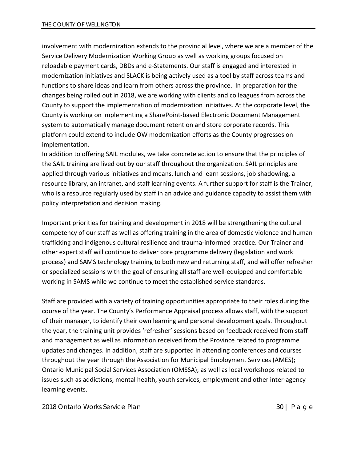involvement with modernization extends to the provincial level, where we are a member of the Service Delivery Modernization Working Group as well as working groups focused on reloadable payment cards, DBDs and e-Statements. Our staff is engaged and interested in modernization initiatives and SLACK is being actively used as a tool by staff across teams and functions to share ideas and learn from others across the province. In preparation for the changes being rolled out in 2018, we are working with clients and colleagues from across the County to support the implementation of modernization initiatives. At the corporate level, the County is working on implementing a SharePoint-based Electronic Document Management system to automatically manage document retention and store corporate records. This platform could extend to include OW modernization efforts as the County progresses on implementation.

In addition to offering SAIL modules, we take concrete action to ensure that the principles of the SAIL training are lived out by our staff throughout the organization. SAIL principles are applied through various initiatives and means, lunch and learn sessions, job shadowing, a resource library, an intranet, and staff learning events. A further support for staff is the Trainer, who is a resource regularly used by staff in an advice and guidance capacity to assist them with policy interpretation and decision making.

Important priorities for training and development in 2018 will be strengthening the cultural competency of our staff as well as offering training in the area of domestic violence and human trafficking and indigenous cultural resilience and trauma-informed practice. Our Trainer and other expert staff will continue to deliver core programme delivery (legislation and work process) and SAMS technology training to both new and returning staff, and will offer refresher or specialized sessions with the goal of ensuring all staff are well-equipped and comfortable working in SAMS while we continue to meet the established service standards.

Staff are provided with a variety of training opportunities appropriate to their roles during the course of the year. The County's Performance Appraisal process allows staff, with the support of their manager, to identify their own learning and personal development goals. Throughout the year, the training unit provides 'refresher' sessions based on feedback received from staff and management as well as information received from the Province related to programme updates and changes. In addition, staff are supported in attending conferences and courses throughout the year through the Association for Municipal Employment Services (AMES); Ontario Municipal Social Services Association (OMSSA); as well as local workshops related to issues such as addictions, mental health, youth services, employment and other inter-agency learning events.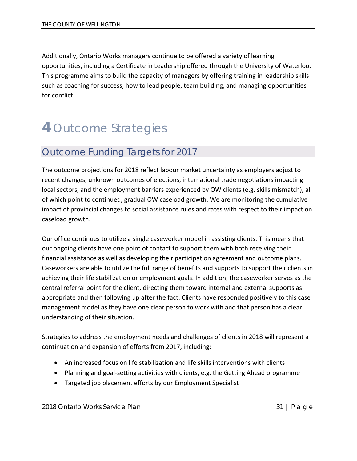Additionally, Ontario Works managers continue to be offered a variety of learning opportunities, including a Certificate in Leadership offered through the University of Waterloo. This programme aims to build the capacity of managers by offering training in leadership skills such as coaching for success, how to lead people, team building, and managing opportunities for conflict.

# <span id="page-31-0"></span>**4** Outcome Strategies

## <span id="page-31-1"></span>Outcome Funding Targets for 2017

The outcome projections for 2018 reflect labour market uncertainty as employers adjust to recent changes, unknown outcomes of elections, international trade negotiations impacting local sectors, and the employment barriers experienced by OW clients (e.g. skills mismatch), all of which point to continued, gradual OW caseload growth. We are monitoring the cumulative impact of provincial changes to social assistance rules and rates with respect to their impact on caseload growth.

Our office continues to utilize a single caseworker model in assisting clients. This means that our ongoing clients have one point of contact to support them with both receiving their financial assistance as well as developing their participation agreement and outcome plans. Caseworkers are able to utilize the full range of benefits and supports to support their clients in achieving their life stabilization or employment goals. In addition, the caseworker serves as the central referral point for the client, directing them toward internal and external supports as appropriate and then following up after the fact. Clients have responded positively to this case management model as they have one clear person to work with and that person has a clear understanding of their situation.

Strategies to address the employment needs and challenges of clients in 2018 will represent a continuation and expansion of efforts from 2017, including:

- An increased focus on life stabilization and life skills interventions with clients
- Planning and goal-setting activities with clients, e.g. the Getting Ahead programme
- Targeted job placement efforts by our Employment Specialist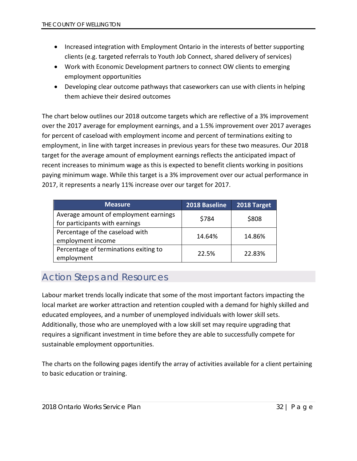- Increased integration with Employment Ontario in the interests of better supporting clients (e.g. targeted referrals to Youth Job Connect, shared delivery of services)
- Work with Economic Development partners to connect OW clients to emerging employment opportunities
- Developing clear outcome pathways that caseworkers can use with clients in helping them achieve their desired outcomes

The chart below outlines our 2018 outcome targets which are reflective of a 3% improvement over the 2017 average for employment earnings, and a 1.5% improvement over 2017 averages for percent of caseload with employment income and percent of terminations exiting to employment, in line with target increases in previous years for these two measures. Our 2018 target for the average amount of employment earnings reflects the anticipated impact of recent increases to minimum wage as this is expected to benefit clients working in positions paying minimum wage. While this target is a 3% improvement over our actual performance in 2017, it represents a nearly 11% increase over our target for 2017.

| <b>Measure</b>                                                          | 2018 Baseline | 2018 Target |
|-------------------------------------------------------------------------|---------------|-------------|
| Average amount of employment earnings<br>for participants with earnings | \$784         | \$808       |
| Percentage of the caseload with<br>employment income                    | 14.64%        | 14.86%      |
| Percentage of terminations exiting to<br>employment                     | 22.5%         | 22.83%      |

# <span id="page-32-0"></span>Action Steps and Resources

Labour market trends locally indicate that some of the most important factors impacting the local market are worker attraction and retention coupled with a demand for highly skilled and educated employees, and a number of unemployed individuals with lower skill sets. Additionally, those who are unemployed with a low skill set may require upgrading that requires a significant investment in time before they are able to successfully compete for sustainable employment opportunities.

The charts on the following pages identify the array of activities available for a client pertaining to basic education or training.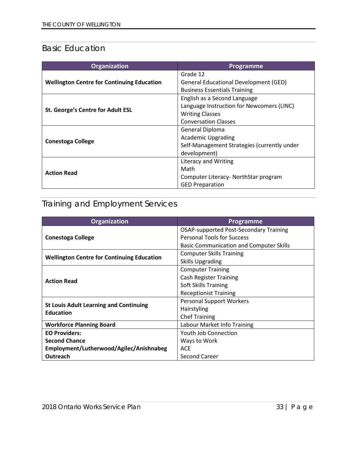## <span id="page-33-0"></span>Basic Education

| <b>Organization</b>                               | Programme                                    |
|---------------------------------------------------|----------------------------------------------|
|                                                   | Grade 12                                     |
| <b>Wellington Centre for Continuing Education</b> | <b>General Educational Development (GED)</b> |
|                                                   | <b>Business Essentials Training</b>          |
|                                                   | English as a Second Language                 |
| St. George's Centre for Adult ESL                 | Language Instruction for Newcomers (LINC)    |
|                                                   | <b>Writing Classes</b>                       |
|                                                   | <b>Conversation Classes</b>                  |
|                                                   | General Diploma                              |
| <b>Conestoga College</b>                          | <b>Academic Upgrading</b>                    |
|                                                   | Self-Management Strategies (currently under  |
|                                                   | development)                                 |
|                                                   | <b>Literacy and Writing</b>                  |
|                                                   | Math                                         |
| <b>Action Read</b>                                | Computer Literacy- NorthStar program         |
|                                                   | <b>GED Preparation</b>                       |

# <span id="page-33-1"></span>Training and Employment Services

| <b>Organization</b>                                               | Programme                                      |
|-------------------------------------------------------------------|------------------------------------------------|
|                                                                   | <b>OSAP-supported Post-Secondary Training</b>  |
| <b>Conestoga College</b>                                          | <b>Personal Tools for Success</b>              |
|                                                                   | <b>Basic Communication and Computer Skills</b> |
| <b>Wellington Centre for Continuing Education</b>                 | <b>Computer Skills Training</b>                |
|                                                                   | <b>Skills Upgrading</b>                        |
|                                                                   | <b>Computer Training</b>                       |
| <b>Action Read</b>                                                | <b>Cash Register Training</b>                  |
|                                                                   | Soft Skills Training                           |
|                                                                   | <b>Receptionist Training</b>                   |
|                                                                   | <b>Personal Support Workers</b>                |
| <b>St Louis Adult Learning and Continuing</b><br><b>Education</b> | <b>Hairstyling</b>                             |
|                                                                   | <b>Chef Training</b>                           |
| <b>Workforce Planning Board</b>                                   | Labour Market Info Training                    |
| <b>EO Providers:</b>                                              | <b>Youth Job Connection</b>                    |
| <b>Second Chance</b>                                              | Ways to Work                                   |
| Employment/Lutherwood/Agilec/Anishnabeg                           | <b>ACE</b>                                     |
| Outreach                                                          | Second Career                                  |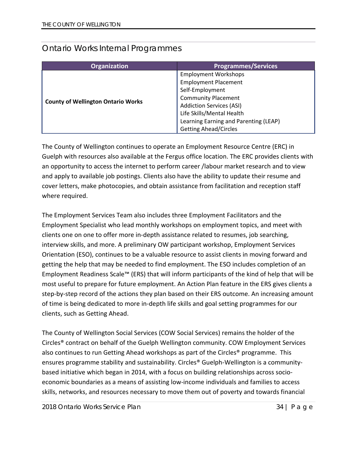### <span id="page-34-0"></span>Ontario Works Internal Programmes

| <b>Organization</b>                       | <b>Programmes/Services</b>            |
|-------------------------------------------|---------------------------------------|
|                                           | <b>Employment Workshops</b>           |
|                                           | <b>Employment Placement</b>           |
|                                           | Self-Employment                       |
|                                           | <b>Community Placement</b>            |
| <b>County of Wellington Ontario Works</b> | <b>Addiction Services (ASI)</b>       |
|                                           | Life Skills/Mental Health             |
|                                           | Learning Earning and Parenting (LEAP) |
|                                           | <b>Getting Ahead/Circles</b>          |

The County of Wellington continues to operate an Employment Resource Centre (ERC) in Guelph with resources also available at the Fergus office location. The ERC provides clients with an opportunity to access the internet to perform career /labour market research and to view and apply to available job postings. Clients also have the ability to update their resume and cover letters, make photocopies, and obtain assistance from facilitation and reception staff where required.

The Employment Services Team also includes three Employment Facilitators and the Employment Specialist who lead monthly workshops on employment topics, and meet with clients one on one to offer more in-depth assistance related to resumes, job searching, interview skills, and more. A preliminary OW participant workshop, Employment Services Orientation (ESO), continues to be a valuable resource to assist clients in moving forward and getting the help that may be needed to find employment. The ESO includes completion of an Employment Readiness Scale™ (ERS) that will inform participants of the kind of help that will be most useful to prepare for future employment. An Action Plan feature in the ERS gives clients a step-by-step record of the actions they plan based on their ERS outcome. An increasing amount of time is being dedicated to more in-depth life skills and goal setting programmes for our clients, such as Getting Ahead.

The County of Wellington Social Services (COW Social Services) remains the holder of the Circles® contract on behalf of the Guelph Wellington community. COW Employment Services also continues to run Getting Ahead workshops as part of the Circles® programme. This ensures programme stability and sustainability. Circles® Guelph-Wellington is a communitybased initiative which began in 2014, with a focus on building relationships across socioeconomic boundaries as a means of assisting low-income individuals and families to access skills, networks, and resources necessary to move them out of poverty and towards financial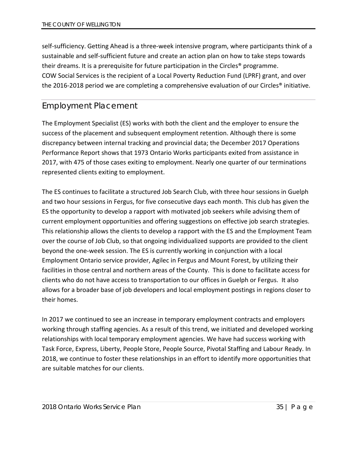self-sufficiency. Getting Ahead is a three-week intensive program, where participants think of a sustainable and self-sufficient future and create an action plan on how to take steps towards their dreams. It is a prerequisite for future participation in the Circles® programme. COW Social Services is the recipient of a Local Poverty Reduction Fund (LPRF) grant, and over the 2016-2018 period we are completing a comprehensive evaluation of our Circles® initiative.

### <span id="page-35-0"></span>Employment Placement

The Employment Specialist (ES) works with both the client and the employer to ensure the success of the placement and subsequent employment retention. Although there is some discrepancy between internal tracking and provincial data; the December 2017 Operations Performance Report shows that 1973 Ontario Works participants exited from assistance in 2017, with 475 of those cases exiting to employment. Nearly one quarter of our terminations represented clients exiting to employment.

The ES continues to facilitate a structured Job Search Club, with three hour sessions in Guelph and two hour sessions in Fergus, for five consecutive days each month. This club has given the ES the opportunity to develop a rapport with motivated job seekers while advising them of current employment opportunities and offering suggestions on effective job search strategies. This relationship allows the clients to develop a rapport with the ES and the Employment Team over the course of Job Club, so that ongoing individualized supports are provided to the client beyond the one-week session. The ES is currently working in conjunction with a local Employment Ontario service provider, Agilec in Fergus and Mount Forest, by utilizing their facilities in those central and northern areas of the County. This is done to facilitate access for clients who do not have access to transportation to our offices in Guelph or Fergus. It also allows for a broader base of job developers and local employment postings in regions closer to their homes.

In 2017 we continued to see an increase in temporary employment contracts and employers working through staffing agencies. As a result of this trend, we initiated and developed working relationships with local temporary employment agencies. We have had success working with Task Force, Express, Liberty, People Store, People Source, Pivotal Staffing and Labour Ready. In 2018, we continue to foster these relationships in an effort to identify more opportunities that are suitable matches for our clients.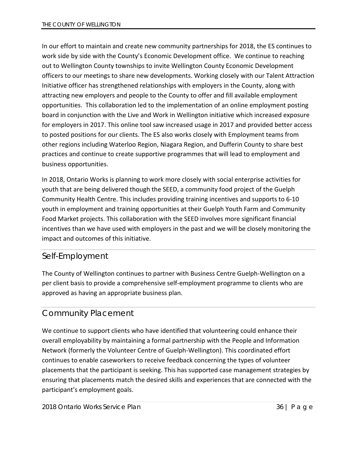In our effort to maintain and create new community partnerships for 2018, the ES continues to work side by side with the County's Economic Development office. We continue to reaching out to Wellington County townships to invite Wellington County Economic Development officers to our meetings to share new developments. Working closely with our Talent Attraction Initiative officer has strengthened relationships with employers in the County, along with attracting new employers and people to the County to offer and fill available employment opportunities. This collaboration led to the implementation of an online employment posting board in conjunction with the Live and Work in Wellington initiative which increased exposure for employers in 2017. This online tool saw increased usage in 2017 and provided better access to posted positions for our clients. The ES also works closely with Employment teams from other regions including Waterloo Region, Niagara Region, and Dufferin County to share best practices and continue to create supportive programmes that will lead to employment and business opportunities.

In 2018, Ontario Works is planning to work more closely with social enterprise activities for youth that are being delivered though the SEED, a community food project of the Guelph Community Health Centre. This includes providing training incentives and supports to 6-10 youth in employment and training opportunities at their Guelph Youth Farm and Community Food Market projects. This collaboration with the SEED involves more significant financial incentives than we have used with employers in the past and we will be closely monitoring the impact and outcomes of this initiative.

### <span id="page-36-0"></span>Self-Employment

The County of Wellington continues to partner with Business Centre Guelph-Wellington on a per client basis to provide a comprehensive self-employment programme to clients who are approved as having an appropriate business plan.

## <span id="page-36-1"></span>Community Placement

We continue to support clients who have identified that volunteering could enhance their overall employability by maintaining a formal partnership with the People and Information Network (formerly the Volunteer Centre of Guelph-Wellington). This coordinated effort continues to enable caseworkers to receive feedback concerning the types of volunteer placements that the participant is seeking. This has supported case management strategies by ensuring that placements match the desired skills and experiences that are connected with the participant's employment goals.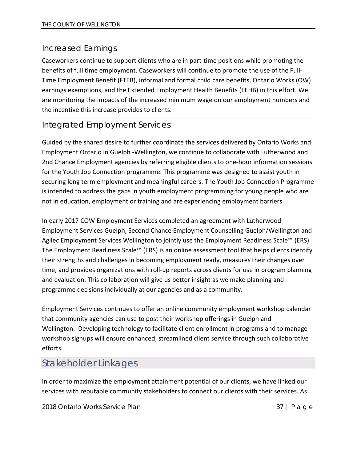### <span id="page-37-0"></span>Increased Earnings

Caseworkers continue to support clients who are in part-time positions while promoting the benefits of full time employment. Caseworkers will continue to promote the use of the Full-Time Employment Benefit (FTEB), informal and formal child care benefits, Ontario Works (OW) earnings exemptions, and the Extended Employment Health Benefits (EEHB) in this effort. We are monitoring the impacts of the increased minimum wage on our employment numbers and the incentive this increase provides to clients.

### <span id="page-37-1"></span>Integrated Employment Services

Guided by the shared desire to further coordinate the services delivered by Ontario Works and Employment Ontario in Guelph -Wellington, we continue to collaborate with Lutherwood and 2nd Chance Employment agencies by referring eligible clients to one-hour information sessions for the Youth Job Connection programme. This programme was designed to assist youth in securing long term employment and meaningful careers. The Youth Job Connection Programme is intended to address the gaps in youth employment programming for young people who are not in education, employment or training and are experiencing employment barriers.

In early 2017 COW Employment Services completed an agreement with Lutherwood Employment Services Guelph, Second Chance Employment Counselling Guelph/Wellington and Agilec Employment Services Wellington to jointly use the Employment Readiness Scale™ (ERS). The Employment Readiness Scale™ (ERS) is an online assessment tool that helps clients identify their strengths and challenges in becoming employment ready, measures their changes over time, and provides organizations with roll-up reports across clients for use in program planning and evaluation. This collaboration will give us better insight as we make planning and programme decisions individually at our agencies and as a community.

Employment Services continues to offer an online community employment workshop calendar that community agencies can use to post their workshop offerings in Guelph and Wellington. Developing technology to facilitate client enrollment in programs and to manage workshop signups will ensure enhanced, streamlined client service through such collaborative efforts.

# <span id="page-37-2"></span>Stakeholder Linkages

In order to maximize the employment attainment potential of our clients, we have linked our services with reputable community stakeholders to connect our clients with their services. As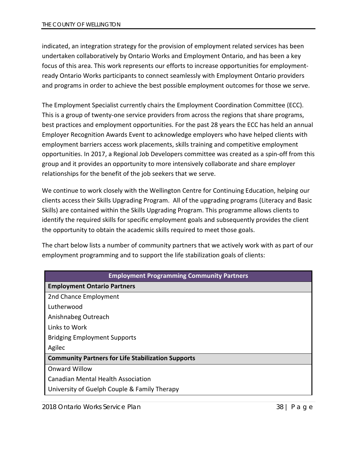indicated, an integration strategy for the provision of employment related services has been undertaken collaboratively by Ontario Works and Employment Ontario, and has been a key focus of this area. This work represents our efforts to increase opportunities for employmentready Ontario Works participants to connect seamlessly with Employment Ontario providers and programs in order to achieve the best possible employment outcomes for those we serve.

The Employment Specialist currently chairs the Employment Coordination Committee (ECC). This is a group of twenty-one service providers from across the regions that share programs, best practices and employment opportunities. For the past 28 years the ECC has held an annual Employer Recognition Awards Event to acknowledge employers who have helped clients with employment barriers access work placements, skills training and competitive employment opportunities. In 2017, a Regional Job Developers committee was created as a spin-off from this group and it provides an opportunity to more intensively collaborate and share employer relationships for the benefit of the job seekers that we serve.

We continue to work closely with the Wellington Centre for Continuing Education, helping our clients access their Skills Upgrading Program. All of the upgrading programs (Literacy and Basic Skills) are contained within the Skills Upgrading Program. This programme allows clients to identify the required skills for specific employment goals and subsequently provides the client the opportunity to obtain the academic skills required to meet those goals.

The chart below lists a number of community partners that we actively work with as part of our employment programming and to support the life stabilization goals of clients:

| <b>Employment Programming Community Partners</b>          |
|-----------------------------------------------------------|
| <b>Employment Ontario Partners</b>                        |
| 2nd Chance Employment                                     |
| Lutherwood                                                |
| Anishnabeg Outreach                                       |
| Links to Work                                             |
| <b>Bridging Employment Supports</b>                       |
| Agilec                                                    |
| <b>Community Partners for Life Stabilization Supports</b> |
| <b>Onward Willow</b>                                      |
| <b>Canadian Mental Health Association</b>                 |
| University of Guelph Couple & Family Therapy              |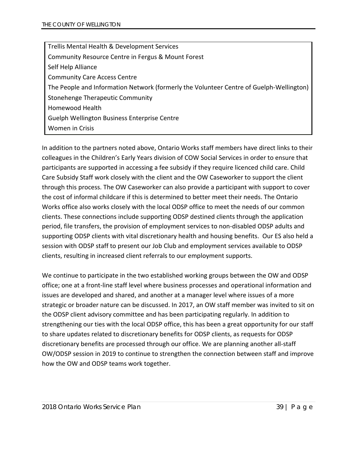Trellis Mental Health & Development Services Community Resource Centre in Fergus & Mount Forest Self Help Alliance Community Care Access Centre The People and Information Network (formerly the Volunteer Centre of Guelph-Wellington) Stonehenge Therapeutic Community Homewood Health Guelph Wellington Business Enterprise Centre Women in Crisis

In addition to the partners noted above, Ontario Works staff members have direct links to their colleagues in the Children's Early Years division of COW Social Services in order to ensure that participants are supported in accessing a fee subsidy if they require licenced child care. Child Care Subsidy Staff work closely with the client and the OW Caseworker to support the client through this process. The OW Caseworker can also provide a participant with support to cover the cost of informal childcare if this is determined to better meet their needs. The Ontario Works office also works closely with the local ODSP office to meet the needs of our common clients. These connections include supporting ODSP destined clients through the application period, file transfers, the provision of employment services to non-disabled ODSP adults and supporting ODSP clients with vital discretionary health and housing benefits. Our ES also held a session with ODSP staff to present our Job Club and employment services available to ODSP clients, resulting in increased client referrals to our employment supports.

We continue to participate in the two established working groups between the OW and ODSP office; one at a front-line staff level where business processes and operational information and issues are developed and shared, and another at a manager level where issues of a more strategic or broader nature can be discussed. In 2017, an OW staff member was invited to sit on the ODSP client advisory committee and has been participating regularly. In addition to strengthening our ties with the local ODSP office, this has been a great opportunity for our staff to share updates related to discretionary benefits for ODSP clients, as requests for ODSP discretionary benefits are processed through our office. We are planning another all-staff OW/ODSP session in 2019 to continue to strengthen the connection between staff and improve how the OW and ODSP teams work together.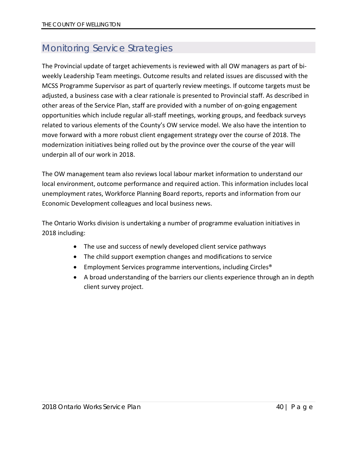# <span id="page-40-0"></span>Monitoring Service Strategies

The Provincial update of target achievements is reviewed with all OW managers as part of biweekly Leadership Team meetings. Outcome results and related issues are discussed with the MCSS Programme Supervisor as part of quarterly review meetings. If outcome targets must be adjusted, a business case with a clear rationale is presented to Provincial staff. As described in other areas of the Service Plan, staff are provided with a number of on-going engagement opportunities which include regular all-staff meetings, working groups, and feedback surveys related to various elements of the County's OW service model. We also have the intention to move forward with a more robust client engagement strategy over the course of 2018. The modernization initiatives being rolled out by the province over the course of the year will underpin all of our work in 2018.

The OW management team also reviews local labour market information to understand our local environment, outcome performance and required action. This information includes local unemployment rates, Workforce Planning Board reports, reports and information from our Economic Development colleagues and local business news.

The Ontario Works division is undertaking a number of programme evaluation initiatives in 2018 including:

- The use and success of newly developed client service pathways
- The child support exemption changes and modifications to service
- Employment Services programme interventions, including Circles<sup>®</sup>
- A broad understanding of the barriers our clients experience through an in depth client survey project.